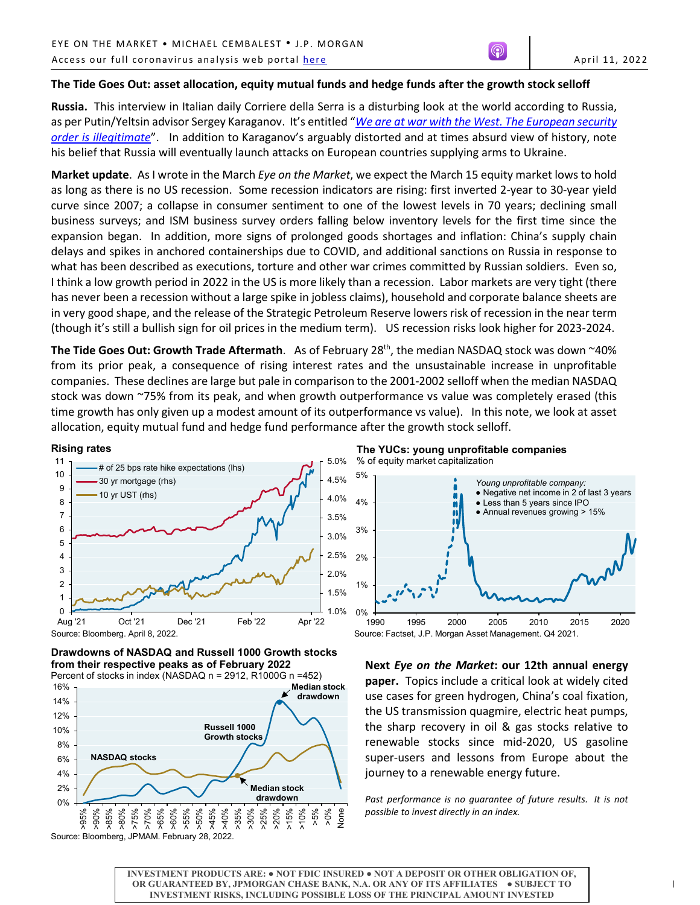## **The Tide Goes Out: asset allocation, equity mutual funds and hedge funds after the growth stock selloff**

**Russia.** This interview in Italian daily Corriere della Serra is a disturbing look at the world according to Russia, as per Putin/Yeltsin advisor Sergey Karaganov. It's entitled "*[We are at war with the West. The European security](https://www-corriere-it.cdn.ampproject.org/c/s/www.corriere.it/economia/aziende/22_aprile_08/we-are-at-war-with-the-west-the-european-security-order-is-illegitimate-c6b9fa5a-b6b7-11ec-b39d-8a197cc9b19a_amp.html)  [order is illegitimate](https://www-corriere-it.cdn.ampproject.org/c/s/www.corriere.it/economia/aziende/22_aprile_08/we-are-at-war-with-the-west-the-european-security-order-is-illegitimate-c6b9fa5a-b6b7-11ec-b39d-8a197cc9b19a_amp.html)*". In addition to Karaganov's arguably distorted and at times absurd view of history, note his belief that Russia will eventually launch attacks on European countries supplying arms to Ukraine.

**Market update**. As I wrote in the March *Eye on the Market*, we expect the March 15 equity market lows to hold as long as there is no US recession. Some recession indicators are rising: first inverted 2-year to 30-year yield curve since 2007; a collapse in consumer sentiment to one of the lowest levels in 70 years; declining small business surveys; and ISM business survey orders falling below inventory levels for the first time since the expansion began. In addition, more signs of prolonged goods shortages and inflation: China's supply chain delays and spikes in anchored containerships due to COVID, and additional sanctions on Russia in response to what has been described as executions, torture and other war crimes committed by Russian soldiers. Even so, I think a low growth period in 2022 in the US is more likely than a recession. Labor markets are very tight (there has never been a recession without a large spike in jobless claims), household and corporate balance sheets are in very good shape, and the release of the Strategic Petroleum Reserve lowers risk of recession in the near term (though it's still a bullish sign for oil prices in the medium term). US recession risks look higher for 2023-2024.

The Tide Goes Out: Growth Trade Aftermath. As of February 28<sup>th</sup>, the median NASDAQ stock was down ~40% from its prior peak, a consequence of rising interest rates and the unsustainable increase in unprofitable companies. These declines are large but pale in comparison to the 2001-2002 selloff when the median NASDAQ stock was down ~75% from its peak, and when growth outperformance vs value was completely erased (this time growth has only given up a modest amount of its outperformance vs value). In this note, we look at asset allocation, equity mutual fund and hedge fund performance after the growth stock selloff.

#### **Rising rates**





Percent of stocks in index (NASDAQ n = 2912, R1000G n =452)



**The YUCs: young unprofitable companies** % of equity market capitalization



**Next** *Eye on the Market***: our 12th annual energy paper.** Topics include a critical look at widely cited use cases for green hydrogen, China's coal fixation, the US transmission quagmire, electric heat pumps, the sharp recovery in oil & gas stocks relative to renewable stocks since mid-2020, US gasoline super-users and lessons from Europe about the journey to a renewable energy future.

Past performance is no guarantee of future results. It is not *possible to invest directly in an index.*

**INVESTMENT PRODUCTS ARE: ● NOT FDIC INSURED ● NOT A DEPOSIT OR OTHER OBLIGATION OF, OR GUARANTEED BY, JPMORGAN CHASE BANK, N.A. OR ANY OF ITS AFFILIATES ● SUBJECT TO INVESTMENT RISKS, INCLUDING POSSIBLE LOSS OF THE PRINCIPAL AMOUNT INVESTED**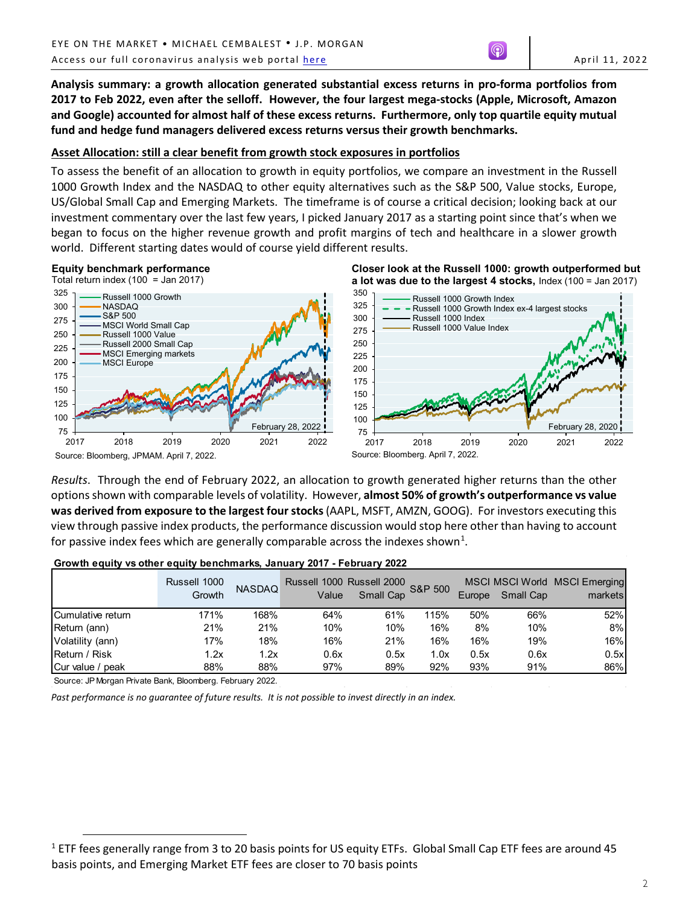**Analysis summary: a growth allocation generated substantial excess returns in pro-forma portfolios from 2017 to Feb 2022, even after the selloff. However, the four largest mega-stocks (Apple, Microsoft, Amazon and Google) accounted for almost half of these excess returns. Furthermore, only top quartile equity mutual fund and hedge fund managers delivered excess returns versus their growth benchmarks.**

## **Asset Allocation: still a clear benefit from growth stock exposures in portfolios**

To assess the benefit of an allocation to growth in equity portfolios, we compare an investment in the Russell 1000 Growth Index and the NASDAQ to other equity alternatives such as the S&P 500, Value stocks, Europe, US/Global Small Cap and Emerging Markets. The timeframe is of course a critical decision; looking back at our investment commentary over the last few years, I picked January 2017 as a starting point since that's when we began to focus on the higher revenue growth and profit margins of tech and healthcare in a slower growth world. Different starting dates would of course yield different results.





Source: Bloomberg, JPMAM. April 7, 2022.

Source: Bloomberg. April 7, 2022.

**Closer look at the Russell 1000: growth outperformed but** 

*Results*. Through the end of February 2022, an allocation to growth generated higher returns than the other options shown with comparable levels of volatility. However, **almost 50% of growth's outperformance vs value was derived from exposure to the largest four stocks**(AAPL, MSFT, AMZN, GOOG). For investors executing this view through passive index products, the performance discussion would stop here other than having to account for passive index fees which are generally comparable across the indexes shown<sup>[1](#page-1-0)</sup>.

|                   | Russell 1000<br>Growth | <b>NASDAQ</b> | Value | Russell 1000 Russell 2000<br>Small Cap | <b>S&amp;P 500</b> | Europe | Small Cap | MSCI MSCI World MSCI Emerging<br>markets |
|-------------------|------------------------|---------------|-------|----------------------------------------|--------------------|--------|-----------|------------------------------------------|
| Cumulative return | 171%                   | 168%          | 64%   | 61%                                    | 115%               | 50%    | 66%       | 52%                                      |
| Return (ann)      | 21%                    | 21%           | 10%   | 10%                                    | 16%                | 8%     | 10%       | 8%                                       |
| Volatility (ann)  | 17%                    | 18%           | 16%   | 21%                                    | 16%                | 16%    | 19%       | 16%                                      |
| Return / Risk     | 1.2x                   | 1.2x          | 0.6x  | 0.5x                                   | 1.0x               | 0.5x   | 0.6x      | 0.5x                                     |
| Cur value / peak  | 88%                    | 88%           | 97%   | 89%                                    | 92%                | 93%    | 91%       | 86%                                      |

## **Growth equity vs other equity benchmarks, January 2017 - February 2022**

Source: JP Morgan Private Bank, Bloomberg. February 2022.

 $\overline{a}$ 

<span id="page-1-0"></span> $1$  ETF fees generally range from 3 to 20 basis points for US equity ETFs. Global Small Cap ETF fees are around 45 basis points, and Emerging Market ETF fees are closer to 70 basis points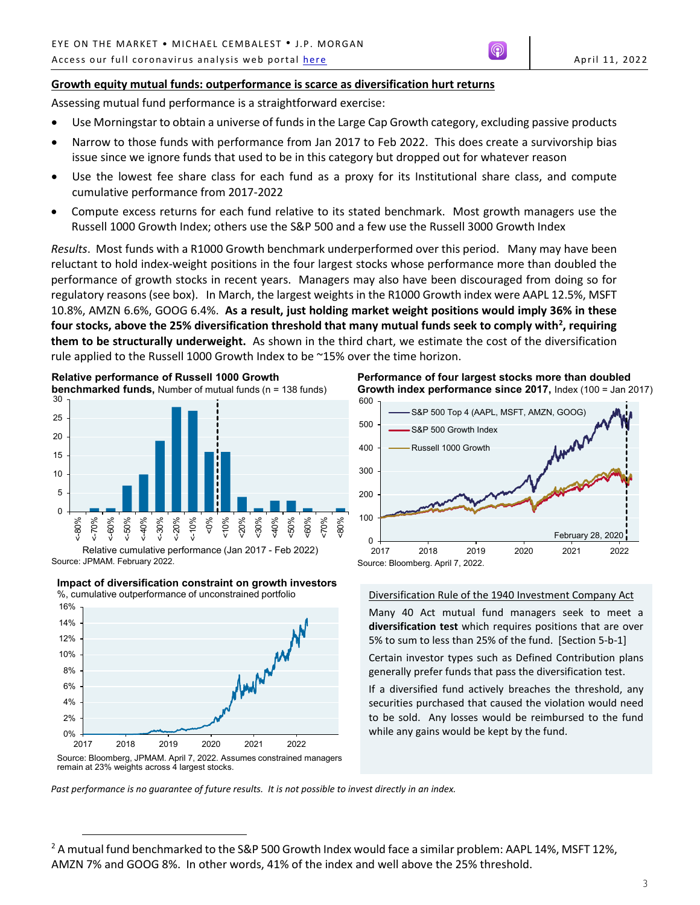Assessing mutual fund performance is a straightforward exercise:

- Use Morningstar to obtain a universe of funds in the Large Cap Growth category, excluding passive products
- Narrow to those funds with performance from Jan 2017 to Feb 2022. This does create a survivorship bias issue since we ignore funds that used to be in this category but dropped out for whatever reason
- Use the lowest fee share class for each fund as a proxy for its Institutional share class, and compute cumulative performance from 2017-2022
- Compute excess returns for each fund relative to its stated benchmark. Most growth managers use the Russell 1000 Growth Index; others use the S&P 500 and a few use the Russell 3000 Growth Index

*Results*. Most funds with a R1000 Growth benchmark underperformed over this period. Many may have been reluctant to hold index-weight positions in the four largest stocks whose performance more than doubled the performance of growth stocks in recent years. Managers may also have been discouraged from doing so for regulatory reasons (see box). In March, the largest weights in the R1000 Growth index were AAPL 12.5%, MSFT 10.8%, AMZN 6.6%, GOOG 6.4%. **As a result, just holding market weight positions would imply 36% in these four stocks, above the 25% diversification threshold that many mutual funds seek to comply with[2](#page-2-0) , requiring them to be structurally underweight.** As shown in the third chart, we estimate the cost of the diversification rule applied to the Russell 1000 Growth Index to be ~15% over the time horizon.



Source: JPMAM. February 2022. Relative cumulative performance (Jan 2017 - Feb 2022)





<u>.</u>

**Performance of four largest stocks more than doubled Growth index performance since 2017,** Index (100 = Jan 2017)



Diversification Rule of the 1940 Investment Company Act

Many 40 Act mutual fund managers seek to meet a **diversification test** which requires positions that are over 5% to sum to less than 25% of the fund. [Section 5-b-1]

Certain investor types such as Defined Contribution plans generally prefer funds that pass the diversification test.

If a diversified fund actively breaches the threshold, any securities purchased that caused the violation would need to be sold. Any losses would be reimbursed to the fund while any gains would be kept by the fund.

*Past performance is no guarantee of future results. It is not possible to invest directly in an index.*

<span id="page-2-0"></span> $2$  A mutual fund benchmarked to the S&P 500 Growth Index would face a similar problem: AAPL 14%, MSFT 12%, AMZN 7% and GOOG 8%. In other words, 41% of the index and well above the 25% threshold.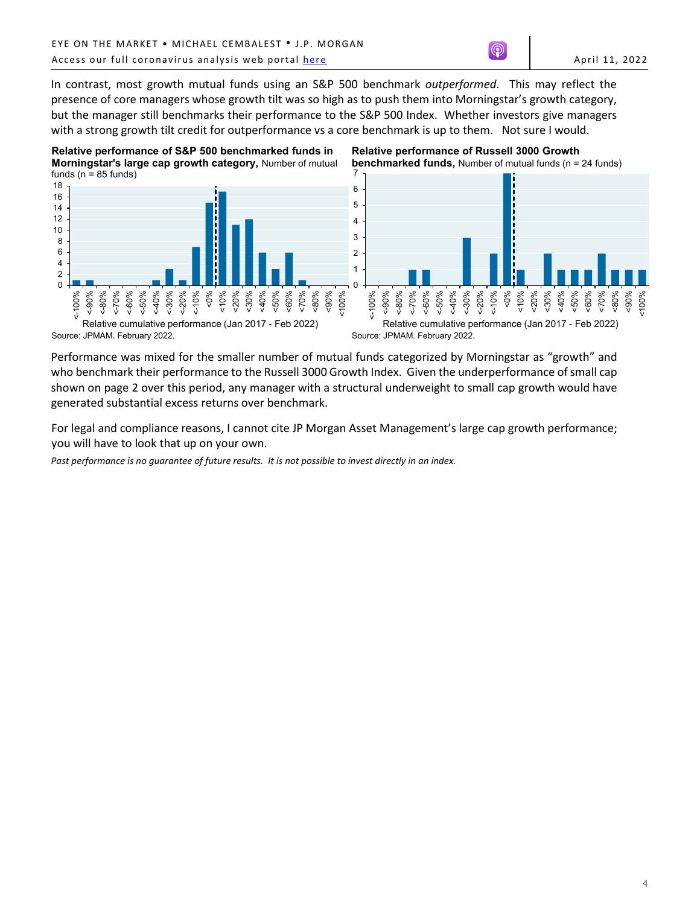<100%

In contrast, most growth mutual funds using an S&P 500 benchmark *outperformed*. This may reflect the presence of core managers whose growth tilt was so high as to push them into Morningstar's growth category, but the manager still benchmarks their performance to the S&P 500 Index. Whether investors give managers with a strong growth tilt credit for outperformance vs a core benchmark is up to them. Not sure I would.



Performance was mixed for the smaller number of mutual funds categorized by Morningstar as "growth" and who benchmark their performance to the Russell 3000 Growth Index. Given the underperformance of small cap shown on page 2 over this period, any manager with a structural underweight to small cap growth would have generated substantial excess returns over benchmark.

For legal and compliance reasons, I cannot cite JP Morgan Asset Management's large cap growth performance; you will have to look that up on your own.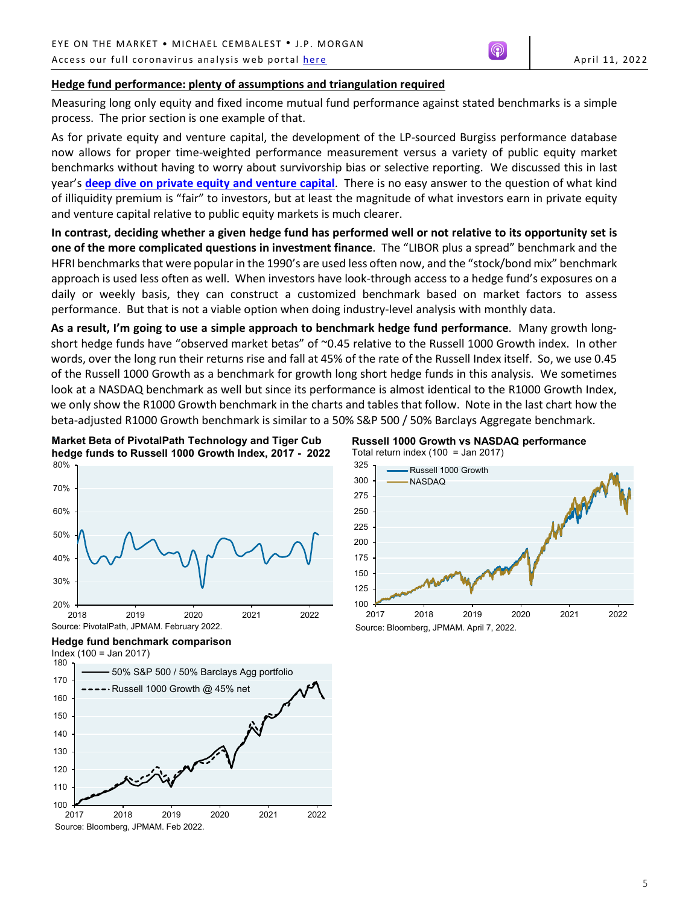## **Hedge fund performance: plenty of assumptions and triangulation required**

Measuring long only equity and fixed income mutual fund performance against stated benchmarks is a simple process. The prior section is one example of that.

As for private equity and venture capital, the development of the LP-sourced Burgiss performance database now allows for proper time-weighted performance measurement versus a variety of public equity market benchmarks without having to worry about survivorship bias or selective reporting. We discussed this in last year's **[deep dive on private equity and venture capital](https://am.jpmorgan.com/content/dam/jpm-am-aem/global/en/insights/eye-on-the-market/private-equity-food-fight-nl.pdf)**. There is no easy answer to the question of what kind of illiquidity premium is "fair" to investors, but at least the magnitude of what investors earn in private equity and venture capital relative to public equity markets is much clearer.

**In contrast, deciding whether a given hedge fund has performed well or not relative to its opportunity set is one of the more complicated questions in investment finance**. The "LIBOR plus a spread" benchmark and the HFRI benchmarks that were popular in the 1990's are used less often now, and the "stock/bond mix" benchmark approach is used less often as well. When investors have look-through access to a hedge fund's exposures on a daily or weekly basis, they can construct a customized benchmark based on market factors to assess performance. But that is not a viable option when doing industry-level analysis with monthly data.

**As a result, I'm going to use a simple approach to benchmark hedge fund performance**. Many growth longshort hedge funds have "observed market betas" of ~0.45 relative to the Russell 1000 Growth index. In other words, over the long run their returns rise and fall at 45% of the rate of the Russell Index itself. So, we use 0.45 of the Russell 1000 Growth as a benchmark for growth long short hedge funds in this analysis. We sometimes look at a NASDAQ benchmark as well but since its performance is almost identical to the R1000 Growth Index, we only show the R1000 Growth benchmark in the charts and tables that follow. Note in the last chart how the beta-adjusted R1000 Growth benchmark is similar to a 50% S&P 500 / 50% Barclays Aggregate benchmark.



# **Russell 1000 Growth vs NASDAQ performance** Total return index  $(100 =$  Jan 2017)



**Hedge fund benchmark comparison**  $Index(100 = Jan 2017)$ 

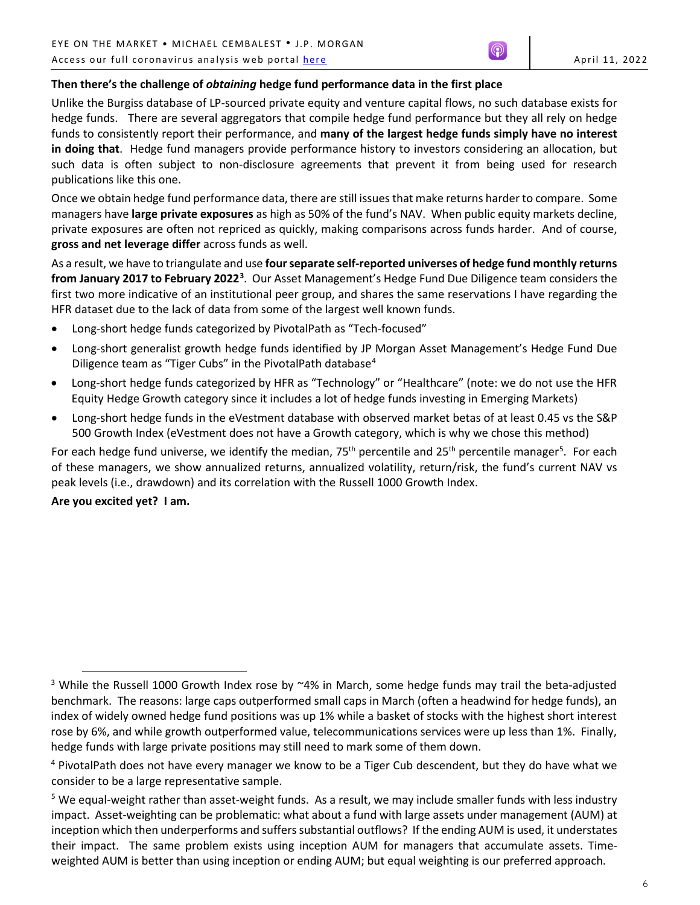# **Then there's the challenge of** *obtaining* **hedge fund performance data in the first place**

Unlike the Burgiss database of LP-sourced private equity and venture capital flows, no such database exists for hedge funds. There are several aggregators that compile hedge fund performance but they all rely on hedge funds to consistently report their performance, and **many of the largest hedge funds simply have no interest in doing that**. Hedge fund managers provide performance history to investors considering an allocation, but such data is often subject to non-disclosure agreements that prevent it from being used for research publications like this one.

Once we obtain hedge fund performance data, there are still issues that make returns harder to compare. Some managers have **large private exposures** as high as 50% of the fund's NAV. When public equity markets decline, private exposures are often not repriced as quickly, making comparisons across funds harder. And of course, **gross and net leverage differ** across funds as well.

As a result, we have to triangulate and use **four separate self-reported universes of hedge fund monthly returns from January 2017 to February 2022[3](#page-5-0)** . Our Asset Management's Hedge Fund Due Diligence team considers the first two more indicative of an institutional peer group, and shares the same reservations I have regarding the HFR dataset due to the lack of data from some of the largest well known funds.

- Long-short hedge funds categorized by PivotalPath as "Tech-focused"
- Long-short generalist growth hedge funds identified by JP Morgan Asset Management's Hedge Fund Due Diligence team as "Tiger Cubs" in the PivotalPath database<sup>[4](#page-5-1)</sup>
- Long-short hedge funds categorized by HFR as "Technology" or "Healthcare" (note: we do not use the HFR Equity Hedge Growth category since it includes a lot of hedge funds investing in Emerging Markets)
- Long-short hedge funds in the eVestment database with observed market betas of at least 0.45 vs the S&P 500 Growth Index (eVestment does not have a Growth category, which is why we chose this method)

For each hedge fund universe, we identify the median, 75<sup>th</sup> percentile and 25<sup>th</sup> percentile manager<sup>5</sup>. For each of these managers, we show annualized returns, annualized volatility, return/risk, the fund's current NAV vs peak levels (i.e., drawdown) and its correlation with the Russell 1000 Growth Index.

**Are you excited yet? I am.**

 $\overline{a}$ 

<span id="page-5-0"></span><sup>&</sup>lt;sup>3</sup> While the Russell 1000 Growth Index rose by  $4\%$  in March, some hedge funds may trail the beta-adjusted benchmark. The reasons: large caps outperformed small caps in March (often a headwind for hedge funds), an index of widely owned hedge fund positions was up 1% while a basket of stocks with the highest short interest rose by 6%, and while growth outperformed value, telecommunications services were up less than 1%. Finally, hedge funds with large private positions may still need to mark some of them down.

<span id="page-5-1"></span><sup>4</sup> PivotalPath does not have every manager we know to be a Tiger Cub descendent, but they do have what we consider to be a large representative sample.

<span id="page-5-2"></span><sup>&</sup>lt;sup>5</sup> We equal-weight rather than asset-weight funds. As a result, we may include smaller funds with less industry impact. Asset-weighting can be problematic: what about a fund with large assets under management (AUM) at inception which then underperforms and suffers substantial outflows? If the ending AUM is used, it understates their impact. The same problem exists using inception AUM for managers that accumulate assets. Timeweighted AUM is better than using inception or ending AUM; but equal weighting is our preferred approach.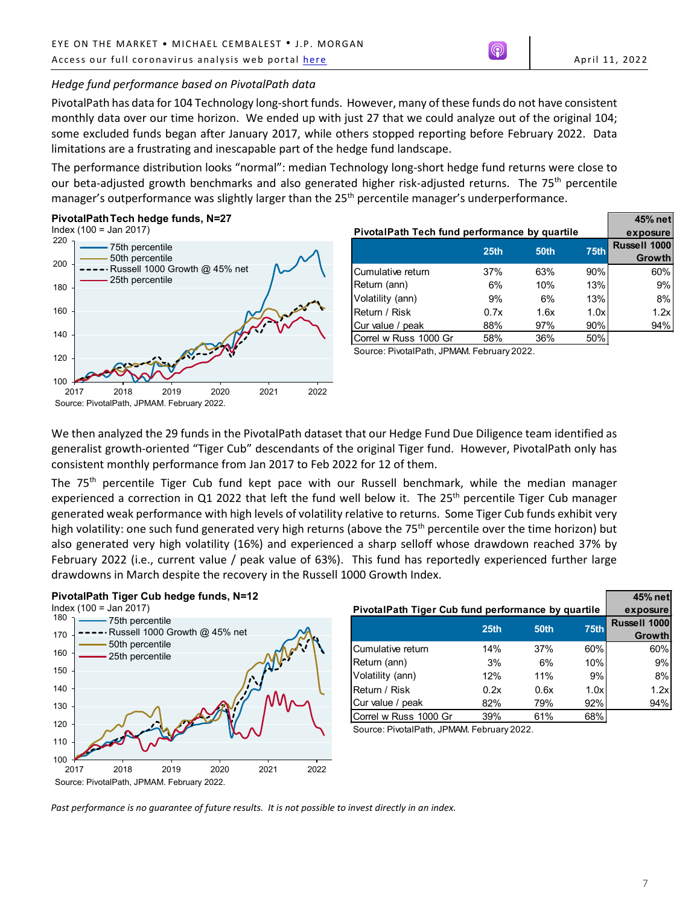# *Hedge fund performance based on PivotalPath data*

PivotalPath has data for 104 Technology long-short funds. However, many of these funds do not have consistent monthly data over our time horizon. We ended up with just 27 that we could analyze out of the original 104; some excluded funds began after January 2017, while others stopped reporting before February 2022. Data limitations are a frustrating and inescapable part of the hedge fund landscape.

The performance distribution looks "normal": median Technology long-short hedge fund returns were close to our beta-adjusted growth benchmarks and also generated higher risk-adjusted returns. The 75<sup>th</sup> percentile manager's outperformance was slightly larger than the 25<sup>th</sup> percentile manager's underperformance.

## **PivotalPathTech hedge funds, N=27**



|                                               | 45% net          |                     |             |        |
|-----------------------------------------------|------------------|---------------------|-------------|--------|
| PivotalPath Tech fund performance by quartile | exposure         |                     |             |        |
|                                               | 25 <sub>th</sub> | <b>Russell 1000</b> |             |        |
|                                               |                  | 50th                | <b>75th</b> | Growth |
| Cumulative return                             | 37%              | 63%                 | 90%         | 60%    |
| Return (ann)                                  | 6%               | 10%                 | 13%         | 9%     |
| Volatility (ann)                              | 9%               | 6%                  | 13%         | 8%     |
| Return / Risk                                 | 0.7x             | 1.6x                | 1.0x        | 1.2x   |
| Cur value / peak                              | 88%              | 97%                 | 90%         | 94%    |
| Correl w Russ 1000 Gr                         | 58%              | 36%                 | 50%         |        |

Source: PivotalPath, JPMAM. February 2022.

We then analyzed the 29 funds in the PivotalPath dataset that our Hedge Fund Due Diligence team identified as generalist growth-oriented "Tiger Cub" descendants of the original Tiger fund. However, PivotalPath only has consistent monthly performance from Jan 2017 to Feb 2022 for 12 of them.

The 75<sup>th</sup> percentile Tiger Cub fund kept pace with our Russell benchmark, while the median manager experienced a correction in Q1 2022 that left the fund well below it. The 25<sup>th</sup> percentile Tiger Cub manager generated weak performance with high levels of volatility relative to returns. Some Tiger Cub funds exhibit very high volatility: one such fund generated very high returns (above the 75<sup>th</sup> percentile over the time horizon) but also generated very high volatility (16%) and experienced a sharp selloff whose drawdown reached 37% by February 2022 (i.e., current value / peak value of 63%). This fund has reportedly experienced further large drawdowns in March despite the recovery in the Russell 1000 Growth Index.

### **PivotalPath Tiger Cub hedge funds, N=12**



|                                                    | 45% net          |             |      |              |
|----------------------------------------------------|------------------|-------------|------|--------------|
| PivotalPath Tiger Cub fund performance by quartile | exposure         |             |      |              |
|                                                    | 25 <sub>th</sub> | <b>50th</b> | 75th | Russell 1000 |
|                                                    |                  |             |      | Growth       |
| Cumulative return                                  | 14%              | 37%         | 60%  | 60%          |
| Return (ann)                                       | 3%               | 6%          | 10%  | 9%           |
| Volatility (ann)                                   | 12%              | 11%         | 9%   | 8%           |
| Return / Risk                                      | 0.2x             | 0.6x        | 1.0x | 1.2x         |
| Cur value / peak                                   | 82%              | 79%         | 92%  | 94%          |
| Correl w Russ 1000 Gr                              | 39%              | 61%         | 68%  |              |

Source: PivotalPath, JPMAM. February 2022.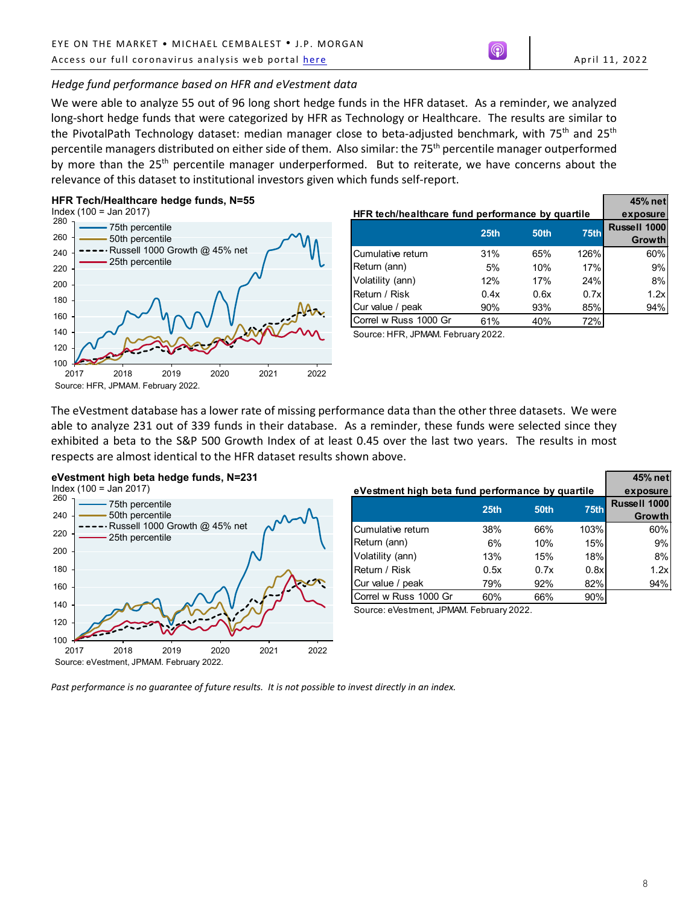# *Hedge fund performance based on HFR and eVestment data*

We were able to analyze 55 out of 96 long short hedge funds in the HFR dataset. As a reminder, we analyzed long-short hedge funds that were categorized by HFR as Technology or Healthcare. The results are similar to the PivotalPath Technology dataset: median manager close to beta-adjusted benchmark, with 75<sup>th</sup> and 25<sup>th</sup> percentile managers distributed on either side of them. Also similar: the 75<sup>th</sup> percentile manager outperformed by more than the  $25<sup>th</sup>$  percentile manager underperformed. But to reiterate, we have concerns about the relevance of this dataset to institutional investors given which funds self-report.

## **HFR Tech/Healthcare hedge funds, N=55**



|                                                  |                  |      |      | 45% net                       |
|--------------------------------------------------|------------------|------|------|-------------------------------|
| HFR tech/healthcare fund performance by quartile | exposure         |      |      |                               |
|                                                  | 25 <sub>th</sub> | 50th | 75th | Russell 1000<br><b>Growth</b> |
| Cumulative return                                | 31%              | 65%  | 126% | 60%                           |
| Return (ann)                                     | 5%               | 10%  | 17%  | 9%                            |
| Volatility (ann)                                 | 12%              | 17%  | 24%  | 8%                            |
| Return / Risk                                    | 0.4x             | 0.6x | 0.7x | 1.2x                          |
| Cur value / peak                                 | 90%              | 93%  | 85%  | 94%                           |
| Correl w Russ 1000 Gr                            | 61%              | 40%  | 72%  |                               |

Source: HFR, JPMAM. February 2022.

The eVestment database has a lower rate of missing performance data than the other three datasets. We were able to analyze 231 out of 339 funds in their database. As a reminder, these funds were selected since they exhibited a beta to the S&P 500 Growth Index of at least 0.45 over the last two years. The results in most respects are almost identical to the HFR dataset results shown above.

### **eVestment high beta hedge funds, N=231** Index (100 = Jan 2017)



|                                                  |                  |             |      | 45% net      |
|--------------------------------------------------|------------------|-------------|------|--------------|
| eVestment high beta fund performance by quartile | exposure         |             |      |              |
|                                                  | 25 <sub>th</sub> | <b>50th</b> | 75th | Russell 1000 |
|                                                  |                  |             |      | Growth       |
| Cumulative return                                | 38%              | 66%         | 103% | 60%          |
| Return (ann)                                     | 6%               | 10%         | 15%  | 9%           |
| Volatility (ann)                                 | 13%              | 15%         | 18%  | 8%           |
| Return / Risk                                    | 0.5x             | 0.7x        | 0.8x | 1.2x         |
| Cur value / peak                                 | 79%              | 92%         | 82%  | 94%          |
| Correl w Russ 1000 Gr                            | 60%              | 66%         | 90%  |              |

Source: eVestment, JPMAM. February 2022.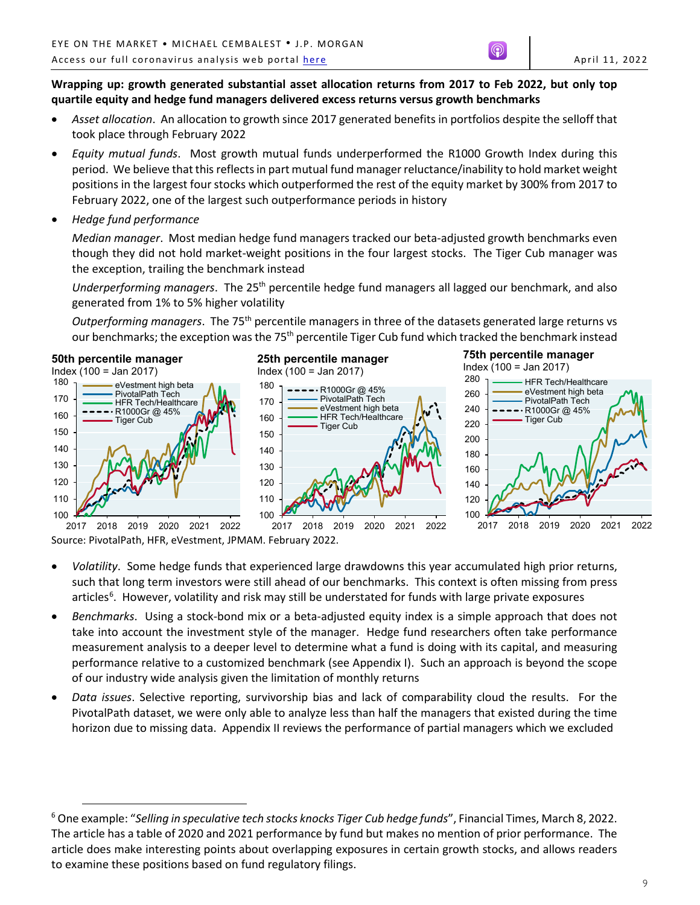# **Wrapping up: growth generated substantial asset allocation returns from 2017 to Feb 2022, but only top quartile equity and hedge fund managers delivered excess returns versus growth benchmarks**

- *Asset allocation*. An allocation to growth since 2017 generated benefits in portfolios despite the selloff that took place through February 2022
- *Equity mutual funds*. Most growth mutual funds underperformed the R1000 Growth Index during this period. We believe that this reflects in part mutual fund managerreluctance/inability to hold market weight positions in the largest four stocks which outperformed the rest of the equity market by 300% from 2017 to February 2022, one of the largest such outperformance periods in history
- *Hedge fund performance*

 $\overline{a}$ 

*Median manager*. Most median hedge fund managers tracked our beta-adjusted growth benchmarks even though they did not hold market-weight positions in the four largest stocks. The Tiger Cub manager was the exception, trailing the benchmark instead

*Underperforming managers*. The 25th percentile hedge fund managers all lagged our benchmark, and also generated from 1% to 5% higher volatility

*Outperforming managers*. The 75th percentile managers in three of the datasets generated large returns vs our benchmarks; the exception was the 75<sup>th</sup> percentile Tiger Cub fund which tracked the benchmark instead



Source: PivotalPath, HFR, eVestment, JPMAM. February 2022.

- *Volatility*. Some hedge funds that experienced large drawdowns this year accumulated high prior returns, such that long term investors were still ahead of our benchmarks. This context is often missing from press articles<sup>[6](#page-8-0)</sup>. However, volatility and risk may still be understated for funds with large private exposures
- *Benchmarks*. Using a stock-bond mix or a beta-adjusted equity index is a simple approach that does not take into account the investment style of the manager. Hedge fund researchers often take performance measurement analysis to a deeper level to determine what a fund is doing with its capital, and measuring performance relative to a customized benchmark (see Appendix I). Such an approach is beyond the scope of our industry wide analysis given the limitation of monthly returns
- *Data issues*. Selective reporting, survivorship bias and lack of comparability cloud the results. For the PivotalPath dataset, we were only able to analyze less than half the managers that existed during the time horizon due to missing data. Appendix II reviews the performance of partial managers which we excluded

<span id="page-8-0"></span><sup>6</sup> One example: "*Selling in speculative tech stocks knocks Tiger Cub hedge funds*", Financial Times, March 8, 2022. The article has a table of 2020 and 2021 performance by fund but makes no mention of prior performance. The article does make interesting points about overlapping exposures in certain growth stocks, and allows readers to examine these positions based on fund regulatory filings.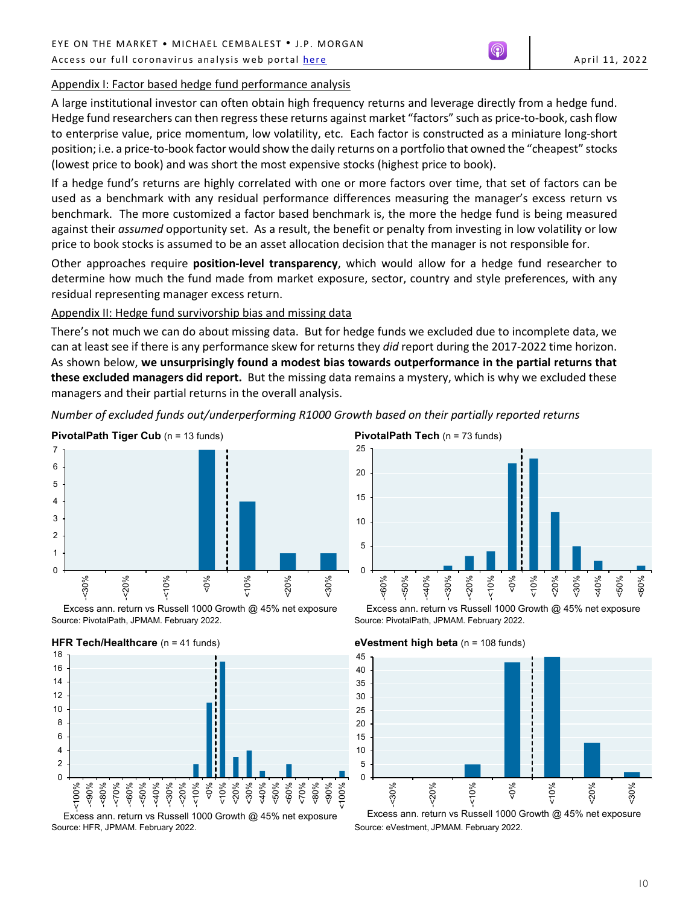## Appendix I: Factor based hedge fund performance analysis

A large institutional investor can often obtain high frequency returns and leverage directly from a hedge fund. Hedge fund researchers can then regress these returns against market "factors" such as price-to-book, cash flow to enterprise value, price momentum, low volatility, etc. Each factor is constructed as a miniature long-short position; i.e. a price-to-book factor would show the daily returns on a portfolio that owned the "cheapest" stocks (lowest price to book) and was short the most expensive stocks (highest price to book).

If a hedge fund's returns are highly correlated with one or more factors over time, that set of factors can be used as a benchmark with any residual performance differences measuring the manager's excess return vs benchmark. The more customized a factor based benchmark is, the more the hedge fund is being measured against their *assumed* opportunity set. As a result, the benefit or penalty from investing in low volatility or low price to book stocks is assumed to be an asset allocation decision that the manager is not responsible for.

Other approaches require **position-level transparency**, which would allow for a hedge fund researcher to determine how much the fund made from market exposure, sector, country and style preferences, with any residual representing manager excess return.

## Appendix II: Hedge fund survivorship bias and missing data

There's not much we can do about missing data. But for hedge funds we excluded due to incomplete data, we can at least see if there is any performance skew for returns they *did* report during the 2017-2022 time horizon. As shown below, **we unsurprisingly found a modest bias towards outperformance in the partial returns that these excluded managers did report.** But the missing data remains a mystery, which is why we excluded these managers and their partial returns in the overall analysis.

*Number of excluded funds out/underperforming R1000 Growth based on their partially reported returns*



Source: PivotalPath, JPMAM. February 2022. Excess ann. return vs Russell 1000 Growth @ 45% net exposure



Source: HFR, JPMAM. February 2022. Excess ann. return vs Russell 1000 Growth @ 45% net exposure

**PivotalPath Tech** (n = 73 funds)



Source: PivotalPath, JPMAM. February 2022. Excess ann. return vs Russell 1000 Growth @ 45% net exposure





Source: eVestment, JPMAM. February 2022. Excess ann. return vs Russell 1000 Growth @ 45% net exposure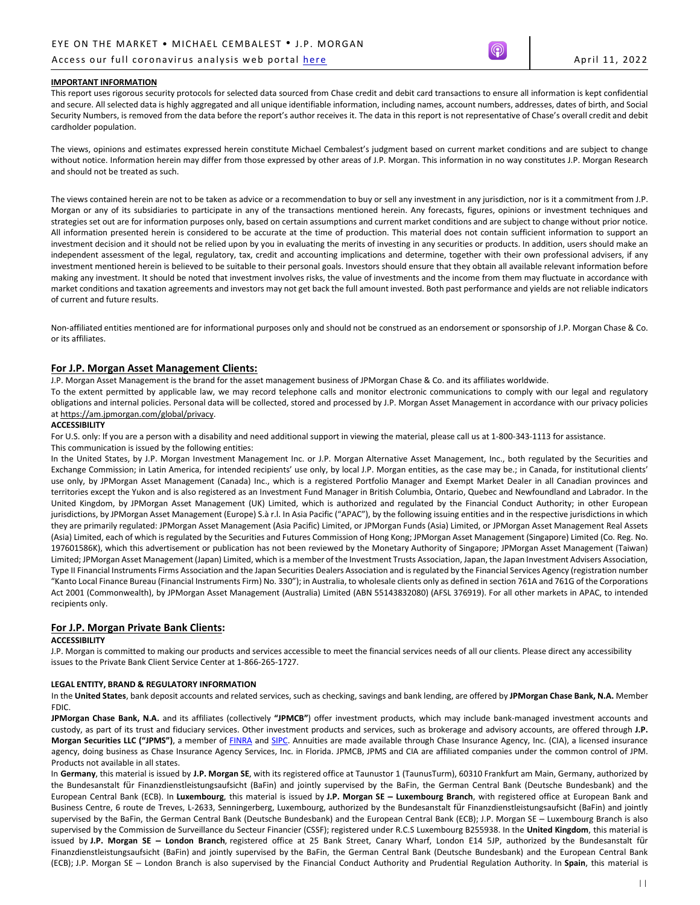### Access our full coronavirus analysis web portal [here](https://www.jpmorgan.com/coronavirusupdates) April 11, 2022

#### **IMPORTANT INFORMATION**

This report uses rigorous security protocols for selected data sourced from Chase credit and debit card transactions to ensure all information is kept confidential and secure. All selected data is highly aggregated and all unique identifiable information, including names, account numbers, addresses, dates of birth, and Social Security Numbers, is removed from the data before the report's author receives it. The data in this report is not representative of Chase's overall credit and debit cardholder population.

The views, opinions and estimates expressed herein constitute Michael Cembalest's judgment based on current market conditions and are subject to change without notice. Information herein may differ from those expressed by other areas of J.P. Morgan. This information in no way constitutes J.P. Morgan Research and should not be treated as such.

The views contained herein are not to be taken as advice or a recommendation to buy or sell any investment in any jurisdiction, nor is it a commitment from J.P. Morgan or any of its subsidiaries to participate in any of the transactions mentioned herein. Any forecasts, figures, opinions or investment techniques and strategies set out are for information purposes only, based on certain assumptions and current market conditions and are subject to change without prior notice. All information presented herein is considered to be accurate at the time of production. This material does not contain sufficient information to support an investment decision and it should not be relied upon by you in evaluating the merits of investing in any securities or products. In addition, users should make an independent assessment of the legal, regulatory, tax, credit and accounting implications and determine, together with their own professional advisers, if any investment mentioned herein is believed to be suitable to their personal goals. Investors should ensure that they obtain all available relevant information before making any investment. It should be noted that investment involves risks, the value of investments and the income from them may fluctuate in accordance with market conditions and taxation agreements and investors may not get back the full amount invested. Both past performance and yields are not reliable indicators of current and future results.

Non-affiliated entities mentioned are for informational purposes only and should not be construed as an endorsement or sponsorship of J.P. Morgan Chase & Co. or its affiliates.

### **For J.P. Morgan Asset Management Clients:**

J.P. Morgan Asset Management is the brand for the asset management business of JPMorgan Chase & Co. and its affiliates worldwide.

To the extent permitted by applicable law, we may record telephone calls and monitor electronic communications to comply with our legal and regulatory obligations and internal policies. Personal data will be collected, stored and processed by J.P. Morgan Asset Management in accordance with our privacy policies a[t https://am.jpmorgan.com/global/privacy.](https://am.jpmorgan.com/global/privacy)

#### **ACCESSIBILITY**

For U.S. only: If you are a person with a disability and need additional support in viewing the material, please call us at 1-800-343-1113 for assistance.

#### This communication is issued by the following entities:

In the United States, by J.P. Morgan Investment Management Inc. or J.P. Morgan Alternative Asset Management, Inc., both regulated by the Securities and Exchange Commission; in Latin America, for intended recipients' use only, by local J.P. Morgan entities, as the case may be.; in Canada, for institutional clients' use only, by JPMorgan Asset Management (Canada) Inc., which is a registered Portfolio Manager and Exempt Market Dealer in all Canadian provinces and territories except the Yukon and is also registered as an Investment Fund Manager in British Columbia, Ontario, Quebec and Newfoundland and Labrador. In the United Kingdom, by JPMorgan Asset Management (UK) Limited, which is authorized and regulated by the Financial Conduct Authority; in other European jurisdictions, by JPMorgan Asset Management (Europe) S.à r.l. In Asia Pacific ("APAC"), by the following issuing entities and in the respective jurisdictions in which they are primarily regulated: JPMorgan Asset Management (Asia Pacific) Limited, or JPMorgan Funds (Asia) Limited, or JPMorgan Asset Management Real Assets (Asia) Limited, each of which is regulated by the Securities and Futures Commission of Hong Kong; JPMorgan Asset Management (Singapore) Limited (Co. Reg. No. 197601586K), which this advertisement or publication has not been reviewed by the Monetary Authority of Singapore; JPMorgan Asset Management (Taiwan) Limited; JPMorgan Asset Management (Japan) Limited, which is a member of the Investment Trusts Association, Japan, the Japan Investment Advisers Association, Type II Financial Instruments Firms Association and the Japan Securities Dealers Association and is regulated by the Financial Services Agency (registration number "Kanto Local Finance Bureau (Financial Instruments Firm) No. 330"); in Australia, to wholesale clients only as defined in section 761A and 761G of the Corporations Act 2001 (Commonwealth), by JPMorgan Asset Management (Australia) Limited (ABN 55143832080) (AFSL 376919). For all other markets in APAC, to intended recipients only.

#### **For J.P. Morgan Private Bank Clients:**

#### **ACCESSIBILITY**

J.P. Morgan is committed to making our products and services accessible to meet the financial services needs of all our clients. Please direct any accessibility issues to the Private Bank Client Service Center at 1-866-265-1727.

#### **LEGAL ENTITY, BRAND & REGULATORY INFORMATION**

In the **United States**, bank deposit accounts and related services, such as checking, savings and bank lending, are offered by **JPMorgan Chase Bank, N.A.** Member FDIC.

**JPMorgan Chase Bank, N.A.** and its affiliates (collectively **"JPMCB"**) offer investment products, which may include bank-managed investment accounts and custody, as part of its trust and fiduciary services. Other investment products and services, such as brokerage and advisory accounts, are offered through **J.P. Morgan Securities LLC ("JPMS")**, a member of [FINRA](http://www.finra.org/) an[d SIPC.](http://www.sipc.org/) Annuities are made available through Chase Insurance Agency, Inc. (CIA), a licensed insurance agency, doing business as Chase Insurance Agency Services, Inc. in Florida. JPMCB, JPMS and CIA are affiliated companies under the common control of JPM. Products not available in all states.

In **Germany**, this material is issued by **J.P. Morgan SE**, with its registered office at Taunustor 1 (TaunusTurm), 60310 Frankfurt am Main, Germany, authorized by the Bundesanstalt für Finanzdienstleistungsaufsicht (BaFin) and jointly supervised by the BaFin, the German Central Bank (Deutsche Bundesbank) and the European Central Bank (ECB). In **Luxembourg**, this material is issued by **J.P. Morgan SE – Luxembourg Branch**, with registered office at European Bank and Business Centre, 6 route de Treves, L-2633, Senningerberg, Luxembourg, authorized by the Bundesanstalt für Finanzdienstleistungsaufsicht (BaFin) and jointly supervised by the BaFin, the German Central Bank (Deutsche Bundesbank) and the European Central Bank (ECB); J.P. Morgan SE – Luxembourg Branch is also supervised by the Commission de Surveillance du Secteur Financier (CSSF); registered under R.C.S Luxembourg B255938. In the **United Kingdom**, this material is issued by **J.P. Morgan SE – London Branch**, registered office at 25 Bank Street, Canary Wharf, London E14 5JP, authorized by the Bundesanstalt für Finanzdienstleistungsaufsicht (BaFin) and jointly supervised by the BaFin, the German Central Bank (Deutsche Bundesbank) and the European Central Bank (ECB); J.P. Morgan SE – London Branch is also supervised by the Financial Conduct Authority and Prudential Regulation Authority. In **Spain**, this material is